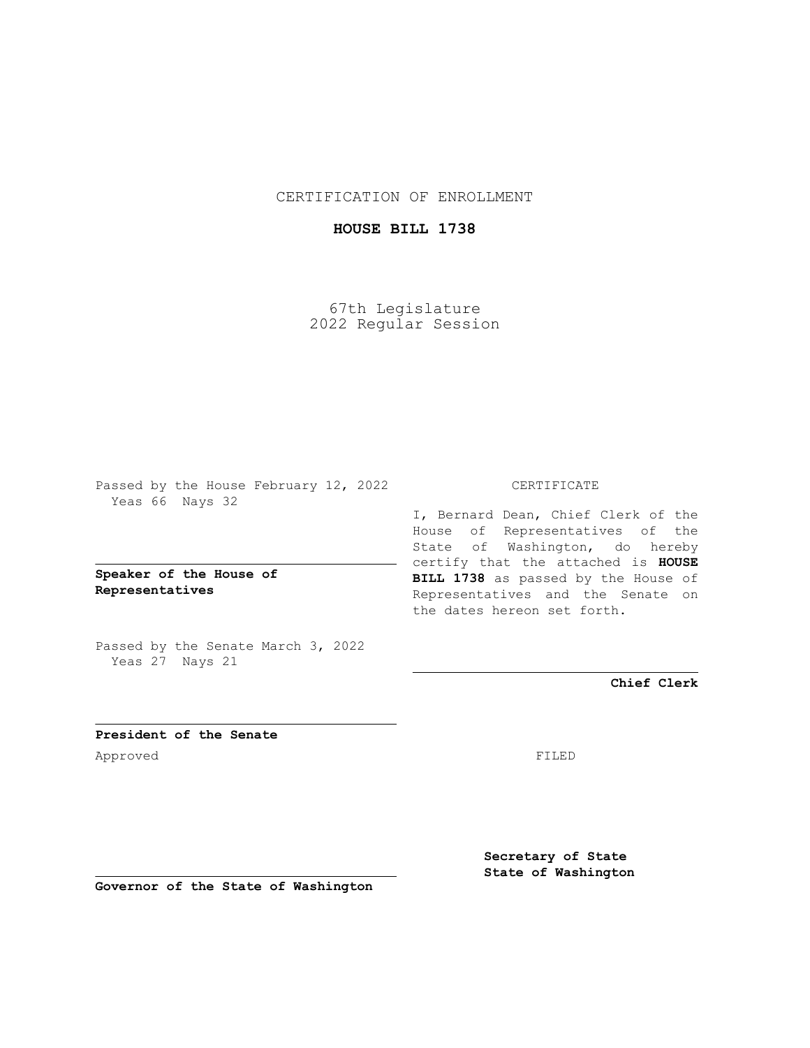CERTIFICATION OF ENROLLMENT

## **HOUSE BILL 1738**

67th Legislature 2022 Regular Session

Passed by the House February 12, 2022 Yeas 66 Nays 32

**Speaker of the House of Representatives**

Passed by the Senate March 3, 2022 Yeas 27 Nays 21

## CERTIFICATE

I, Bernard Dean, Chief Clerk of the House of Representatives of the State of Washington, do hereby certify that the attached is **HOUSE BILL 1738** as passed by the House of Representatives and the Senate on the dates hereon set forth.

**Chief Clerk**

**President of the Senate** Approved FILED

**Secretary of State State of Washington**

**Governor of the State of Washington**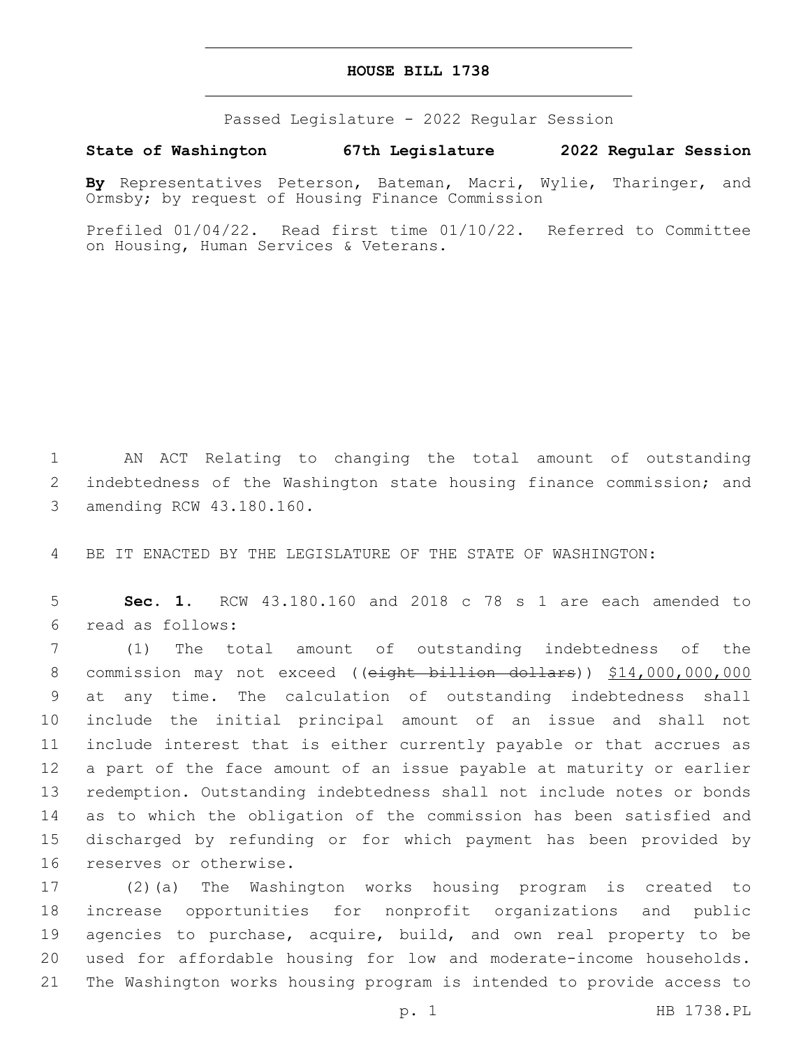## **HOUSE BILL 1738**

Passed Legislature - 2022 Regular Session

**State of Washington 67th Legislature 2022 Regular Session**

**By** Representatives Peterson, Bateman, Macri, Wylie, Tharinger, and Ormsby; by request of Housing Finance Commission

Prefiled 01/04/22. Read first time 01/10/22. Referred to Committee on Housing, Human Services & Veterans.

1 AN ACT Relating to changing the total amount of outstanding 2 indebtedness of the Washington state housing finance commission; and 3 amending RCW 43.180.160.

4 BE IT ENACTED BY THE LEGISLATURE OF THE STATE OF WASHINGTON:

5 **Sec. 1.** RCW 43.180.160 and 2018 c 78 s 1 are each amended to read as follows:6

 (1) The total amount of outstanding indebtedness of the 8 commission may not exceed ((eight billion dollars)) \$14,000,000,000 at any time. The calculation of outstanding indebtedness shall include the initial principal amount of an issue and shall not include interest that is either currently payable or that accrues as a part of the face amount of an issue payable at maturity or earlier redemption. Outstanding indebtedness shall not include notes or bonds as to which the obligation of the commission has been satisfied and discharged by refunding or for which payment has been provided by 16 reserves or otherwise.

 (2)(a) The Washington works housing program is created to increase opportunities for nonprofit organizations and public agencies to purchase, acquire, build, and own real property to be used for affordable housing for low and moderate-income households. The Washington works housing program is intended to provide access to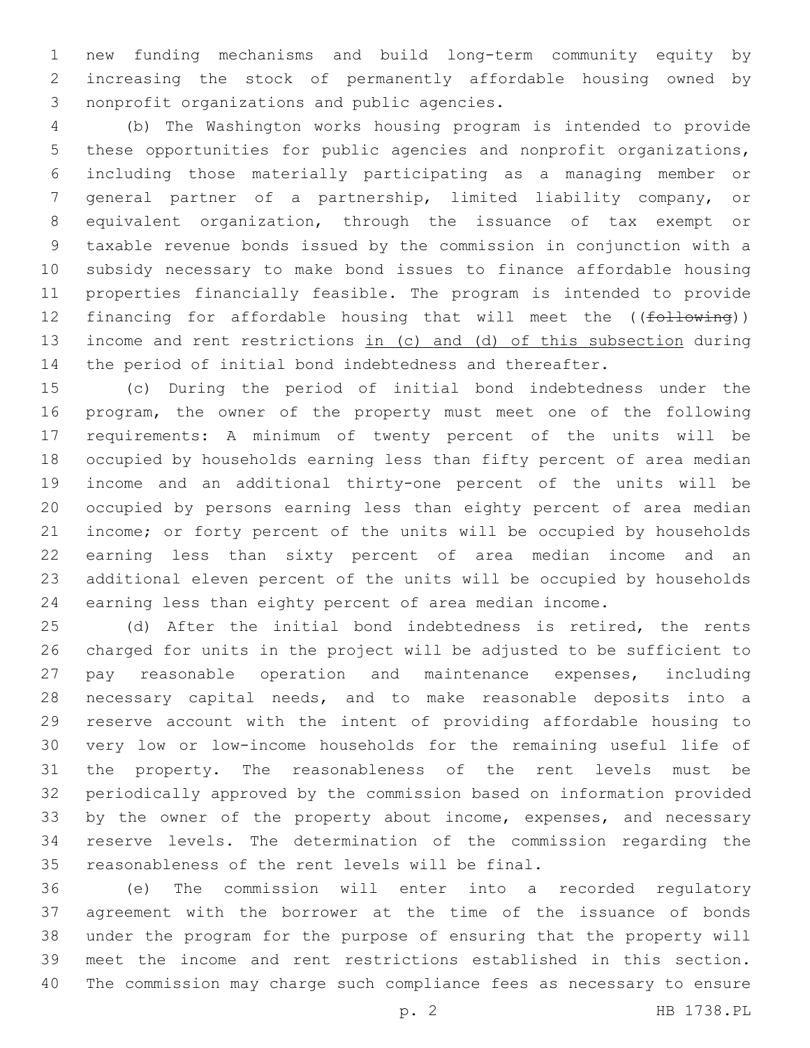new funding mechanisms and build long-term community equity by increasing the stock of permanently affordable housing owned by 3 nonprofit organizations and public agencies.

 (b) The Washington works housing program is intended to provide these opportunities for public agencies and nonprofit organizations, including those materially participating as a managing member or general partner of a partnership, limited liability company, or equivalent organization, through the issuance of tax exempt or taxable revenue bonds issued by the commission in conjunction with a subsidy necessary to make bond issues to finance affordable housing properties financially feasible. The program is intended to provide 12 financing for affordable housing that will meet the ((following)) income and rent restrictions in (c) and (d) of this subsection during the period of initial bond indebtedness and thereafter.

 (c) During the period of initial bond indebtedness under the program, the owner of the property must meet one of the following requirements: A minimum of twenty percent of the units will be occupied by households earning less than fifty percent of area median income and an additional thirty-one percent of the units will be occupied by persons earning less than eighty percent of area median income; or forty percent of the units will be occupied by households earning less than sixty percent of area median income and an additional eleven percent of the units will be occupied by households earning less than eighty percent of area median income.

 (d) After the initial bond indebtedness is retired, the rents charged for units in the project will be adjusted to be sufficient to pay reasonable operation and maintenance expenses, including necessary capital needs, and to make reasonable deposits into a reserve account with the intent of providing affordable housing to very low or low-income households for the remaining useful life of the property. The reasonableness of the rent levels must be periodically approved by the commission based on information provided 33 by the owner of the property about income, expenses, and necessary reserve levels. The determination of the commission regarding the 35 reasonableness of the rent levels will be final.

 (e) The commission will enter into a recorded regulatory agreement with the borrower at the time of the issuance of bonds under the program for the purpose of ensuring that the property will meet the income and rent restrictions established in this section. The commission may charge such compliance fees as necessary to ensure